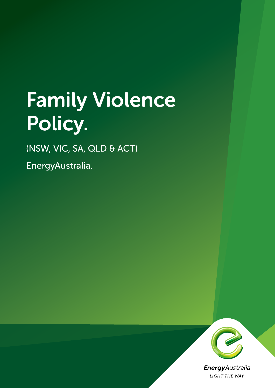# Family Violence Policy.

(NSW, VIC, SA, QLD & ACT)

EnergyAustralia.



EnergyAustralia **LIGHT THE WAY**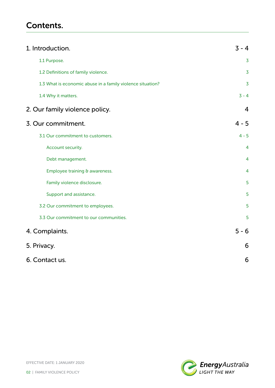| 1. Introduction.                                           | $3 - 4$        |
|------------------------------------------------------------|----------------|
| 1.1 Purpose.                                               | $\overline{3}$ |
| 1.2 Definitions of family violence.                        | $\overline{3}$ |
| 1.3 What is economic abuse in a family violence situation? | $\overline{3}$ |
| 1.4 Why it matters.                                        | $3 - 4$        |
| 2. Our family violence policy.                             | $\overline{4}$ |
| 3. Our commitment.                                         | $4 - 5$        |
| 3.1 Our commitment to customers.                           | $4 - 5$        |
| Account security.                                          | 4              |
| Debt management.                                           | $\overline{4}$ |
| Employee training & awareness.                             | 4              |
| Family violence disclosure.                                | 5              |
| Support and assistance.                                    | 5              |
| 3.2 Our commitment to employees.                           | 5              |
| 3.3 Our commitment to our communities.                     | 5              |
| 4. Complaints.                                             | $5 - 6$        |
| 5. Privacy.                                                | 6              |
| 6. Contact us.                                             | 6              |

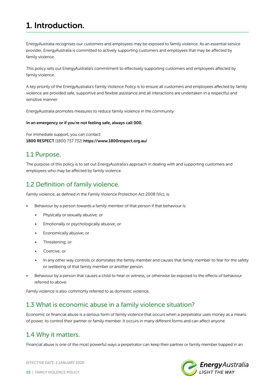# 1. Introduction.

EnergyAustralia recognises our customers and employees may be exposed to family violence. As an essential service provider, EnergyAustralia is committed to actively supporting customers and employees that may be affected by family violence.

This policy sets out EnergyAustralia's commitment to effectively supporting customers and employees affected by family violence.

A key priority of the EnergyAustralia's Family Violence Policy is to ensure all customers and employees affected by family violence are provided safe, supportive and flexible assistance and all interactions are undertaken in a respectful and sensitive manner.

EnergyAustralia promotes measures to reduce family violence in the community.

#### In an emergency or if you're not feeling safe, always call [000](tel:000).

For immediate support, you can contact: 1800 RESPECT [\(1800 737 732\)](tel:1800737732) <https://www.1800respect.org.au/>

### 1.1 Purpose.

The purpose of this policy is to set out EnergyAustralia's approach in dealing with and supporting customers and employees who may be affected by family violence.

## 1.2 Definition of family violence.

Family violence, as defined in the Family Violence Protection Act 2008 (Vic), is:

- Behaviour by a person towards a family member of that person if that behaviour is:
	- Physically or sexually abusive; or
	- Emotionally or psychologically abusive; or
	- Economically abusive; or
	- Threatening; or
	- Coercive; or
	- In any other way controls or dominates the family member and causes that family member to fear for the safety or wellbeing of that family member or another person.
- Behaviour by a person that causes a child to hear or witness, or otherwise be exposed to the effects of behaviour referred to above.

Family violence is also commonly referred to as domestic violence.

## 1.3 What is economic abuse in a family violence situation?

Economic or financial abuse is a serious form of family violence that occurs when a perpetrator uses money as a means of power, to control their partner or family member. It occurs in many different forms and can affect anyone.

## 1.4 Why it matters.

Financial abuse is one of the most powerful ways a perpetrator can keep their partner or family member trapped in an



EFFECTIVE DATE: 1 JANUARY 2020

03 | FAMILY VIOLENCE POLICY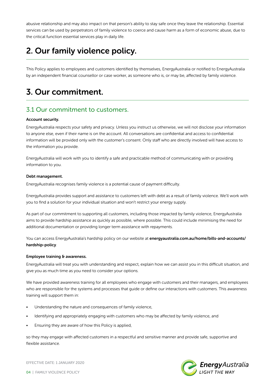abusive relationship and may also impact on that person's ability to stay safe once they leave the relationship. Essential services can be used by perpetrators of family violence to coerce and cause harm as a form of economic abuse, due to the critical function essential services play in daily life.

# 2. Our family violence policy.

This Policy applies to employees and customers identified by themselves, EnergyAustralia or notified to EnergyAustralia by an independent financial counsellor or case worker, as someone who is, or may be, affected by family violence.

# 3. Our commitment.

## 3.1 Our commitment to customers.

#### Account security.

EnergyAustralia respects your safety and privacy. Unless you instruct us otherwise, we will not disclose your information to anyone else, even if their name is on the account. All conversations are confidential and access to confidential information will be provided only with the customer's consent. Only staff who are directly involved will have access to the information you provide.

EnergyAustralia will work with you to identify a safe and practicable method of communicating with or providing information to you.

#### Debt management.

EnergyAustralia recognises family violence is a potential cause of payment difficulty.

EnergyAustralia provides support and assistance to customers left with debt as a result of family violence. We'll work with you to find a solution for your individual situation and won't restrict your energy supply.

As part of our commitment to supporting all customers, including those impacted by family violence, EnergyAustralia aims to provide hardship assistance as quickly as possible, where possible. This could include minimising the need for additional documentation or providing longer term assistance with repayments.

You can access EnergyAustralia's hardship policy on our website at [energyaustralia.com.au/home/bills-and-accounts/](https://www.energyaustralia.com.au/home/bills-and-accounts/hardship-policy) [hardship-policy](https://www.energyaustralia.com.au/home/bills-and-accounts/hardship-policy).

#### Employee training & awareness.

EnergyAustralia will treat you with understanding and respect, explain how we can assist you in this difficult situation, and give you as much time as you need to consider your options.

We have provided awareness training for all employees who engage with customers and their managers, and employees who are responsible for the systems and processes that guide or define our interactions with customers. This awareness training will support them in:

- Understanding the nature and consequences of family violence,
- Identifying and appropriately engaging with customers who may be affected by family violence, and
- Ensuring they are aware of how this Policy is applied,

so they may engage with affected customers in a respectful and sensitive manner and provide safe, supportive and flexible assistance.



EFFECTIVE DATE: 1 JANUARY 2020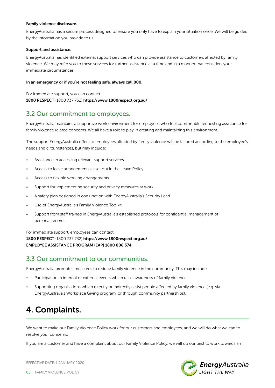#### Family violence disclosure.

EnergyAustralia has a secure process designed to ensure you only have to explain your situation once. We will be guided by the information you provide to us.

#### Support and assistance.

EnergyAustralia has identified external support services who can provide assistance to customers affected by family violence. We may refer you to these services for further assistance at a time and in a manner that considers your immediate circumstances.

#### In an emergency or if you're not feeling safe, always call [000](tel:000).

For immediate support, you can contact: 1800 RESPECT [\(1800 737 732\)](tel:1800737732) <https://www.1800respect.org.au/>

## 3.2 Our commitment to employees.

EnergyAustralia maintains a supportive work environment for employees who feel comfortable requesting assistance for family violence related concerns. We all have a role to play in creating and maintaining this environment.

The support EnergyAustralia offers to employees affected by family violence will be tailored according to the employee's needs and circumstances, but may include:

- Assistance in accessing relevant support services
- Access to leave arrangements as set out in the Leave Policy
- Access to flexible working arrangements
- Support for implementing security and privacy measures at work
- A safety plan designed in conjunction with EnergyAustralia's Security Lead
- Use of EnergyAustralia's Family Violence Toolkit
- Support from staff trained in EnergyAustralia's established protocols for confidential management of personal records.

For immediate support, employees can contact: 1800 RESPECT [\(1800 737 732\)](tel:1800737732) <https://www.1800respect.org.au/> EMPLOYEE ASSISTANCE PROGRAM (EAP) [1800 808 374](tel:1800808374)

## 3.3 Our commitment to our communities.

EnergyAustralia promotes measures to reduce family violence in the community. This may include:

- Participation in internal or external events which raise awareness of family violence
- Supporting organisations which directly or indirectly assist people affected by family violence (e.g. via EnergyAustralia's Workplace Giving program, or through community partnerships).

# 4. Complaints.

We want to make our Family Violence Policy work for our customers and employees, and we will do what we can to resolve your concerns.

If you are a customer and have a complaint about our Family Violence Policy, we will do our best to work towards an



EFFECTIVE DATE: 1 JANUARY 2020

05 | FAMILY VIOLENCE POLICY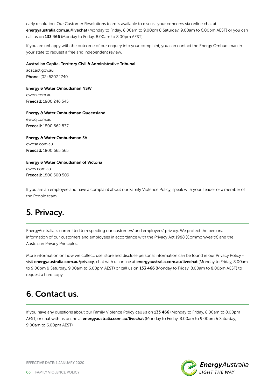early resolution. Our Customer Resolutions team is available to discuss your concerns via online chat at [energyaustralia.com.au/livechat](https://www.energyaustralia.com.au/livechat) (Monday to Friday, 8.00am to 9.00pm & Saturday, 9.00am to 6.00pm AEST) or you can call us on [133 466](tel:133466) (Monday to Friday, 8.00am to 8.00pm AEST).

If you are unhappy with the outcome of our enquiry into your complaint, you can contact the Energy Ombudsman in your state to request a free and independent review.

Australian Capital Territory Civil & Administrative Tribunal

[acat.act.gov.au](https://www.acat.act.gov.au/) Phone: [\(02\) 6207 1740](tel:0262071740)

Energy & Water Ombudsman NSW [ewon.com.au](https://www.ewon.com.au/) Freecall: [1800 246 545](tel:1800246545)

Energy & Water Ombudsman Queensland [ewoq.com.au](https://www.ewoq.com.au/) Freecall: [1800 662 837](tel:1800662837)

Energy & Water Ombudsman SA [ewosa.com.au](https://ewosa.com.au/) Freecall: [1800 665 565](tel:1800665565)

Energy & Water Ombudsman of Victoria [ewov.com.au](https://www.ewov.com.au/) Freecall: [1800 500 509](tel:1800500509)

If you are an employee and have a complaint about our Family Violence Policy, speak with your Leader or a member of the People team.

# 5. Privacy.

EnergyAustralia is committed to respecting our customers' and employees' privacy. We protect the personal information of our customers and employees in accordance with the Privacy Act 1988 (Commonwealth) and the Australian Privacy Principles.

More information on how we collect, use, store and disclose personal information can be found in our Privacy Policy visit [energyaustralia.com.au/privacy](https://www.energyaustralia.com.au/privacy), chat with us online at [energyaustralia.com.au/livechat](https://www.energyaustralia.com.au/livechat) (Monday to Friday, 8.00am to 9.00pm & Saturday, 9.00am to 6.00pm AEST) or call us on [133 466](tel:133466) (Monday to Friday, 8.00am to 8.00pm AEST) to request a hard copy.

# 6. Contact us.

If you have any questions about our Family Violence Policy call us on [133 466](tel:133466) (Monday to Friday, 8.00am to 8.00pm AEST, or chat with us online at *energyaustralia.com.au/livechat* (Monday to Friday, 8.00am to 9.00pm & Saturday, 9.00am to 6.00pm AEST).



EFFECTIVE DATE: 1 JANUARY 2020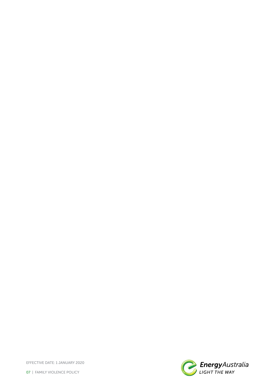

EFFECTIVE DATE: 1 JANUARY 2020